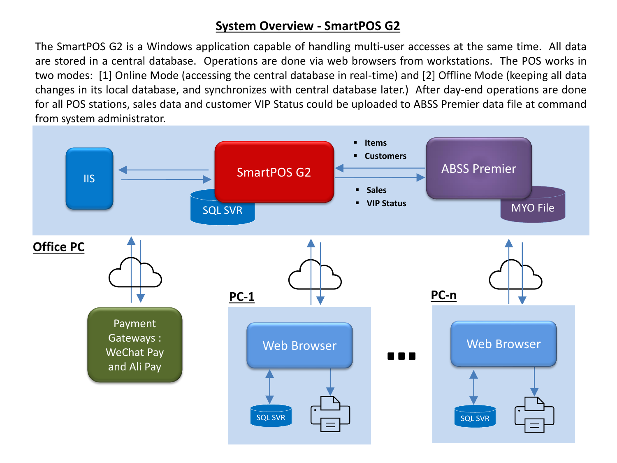## **System Overview - SmartPOS G2**

The SmartPOS G2 is a Windows application capable of handling multi-user accesses at the same time. All data are stored in a central database. Operations are done via web browsers from workstations. The POS works in two modes: [1] Online Mode (accessing the central database in real-time) and [2] Offline Mode (keeping all data changes in its local database, and synchronizes with central database later.) After day-end operations are done for all POS stations, sales data and customer VIP Status could be uploaded to ABSS Premier data file at command from system administrator.

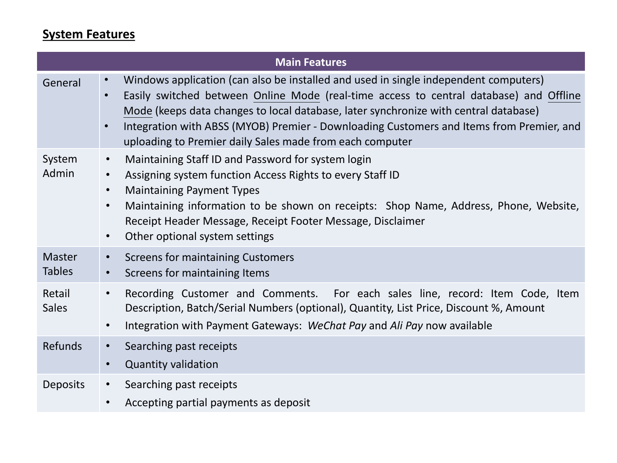## **System Features**

| <b>Main Features</b>           |                                                                                                                                                                                                                                                                                                                                                                                                                                                                       |  |
|--------------------------------|-----------------------------------------------------------------------------------------------------------------------------------------------------------------------------------------------------------------------------------------------------------------------------------------------------------------------------------------------------------------------------------------------------------------------------------------------------------------------|--|
| General                        | Windows application (can also be installed and used in single independent computers)<br>$\bullet$<br>Easily switched between Online Mode (real-time access to central database) and Offline<br>$\bullet$<br>Mode (keeps data changes to local database, later synchronize with central database)<br>Integration with ABSS (MYOB) Premier - Downloading Customers and Items from Premier, and<br>$\bullet$<br>uploading to Premier daily Sales made from each computer |  |
| System<br>Admin                | Maintaining Staff ID and Password for system login<br>$\bullet$<br>Assigning system function Access Rights to every Staff ID<br>$\bullet$<br><b>Maintaining Payment Types</b><br>$\bullet$<br>Maintaining information to be shown on receipts: Shop Name, Address, Phone, Website,<br>$\bullet$<br>Receipt Header Message, Receipt Footer Message, Disclaimer<br>Other optional system settings<br>$\bullet$                                                          |  |
| <b>Master</b><br><b>Tables</b> | <b>Screens for maintaining Customers</b><br>$\bullet$<br>Screens for maintaining Items<br>$\bullet$                                                                                                                                                                                                                                                                                                                                                                   |  |
| Retail<br><b>Sales</b>         | Recording Customer and Comments. For each sales line, record: Item Code, Item<br>$\bullet$<br>Description, Batch/Serial Numbers (optional), Quantity, List Price, Discount %, Amount<br>Integration with Payment Gateways: WeChat Pay and Ali Pay now available<br>$\bullet$                                                                                                                                                                                          |  |
| <b>Refunds</b>                 | Searching past receipts<br>$\bullet$<br><b>Quantity validation</b><br>$\bullet$                                                                                                                                                                                                                                                                                                                                                                                       |  |
| <b>Deposits</b>                | Searching past receipts<br>$\bullet$<br>Accepting partial payments as deposit<br>$\bullet$                                                                                                                                                                                                                                                                                                                                                                            |  |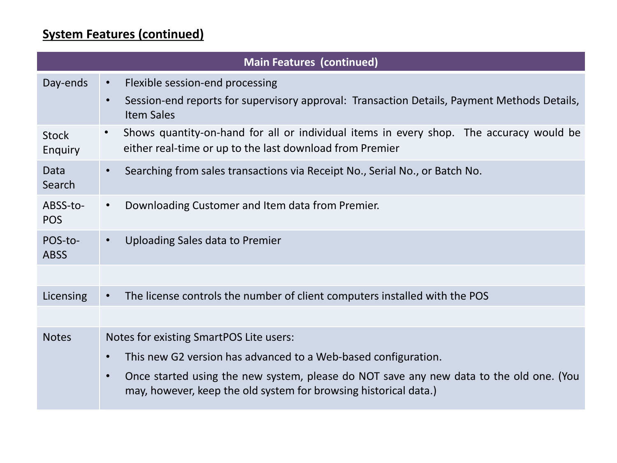## **System Features (continued)**

| <b>Main Features (continued)</b> |                                                                                                                                                                               |  |
|----------------------------------|-------------------------------------------------------------------------------------------------------------------------------------------------------------------------------|--|
| Day-ends                         | Flexible session-end processing<br>$\bullet$<br>Session-end reports for supervisory approval: Transaction Details, Payment Methods Details,<br>$\bullet$<br><b>Item Sales</b> |  |
| <b>Stock</b><br>Enquiry          | Shows quantity-on-hand for all or individual items in every shop. The accuracy would be<br>$\bullet$<br>either real-time or up to the last download from Premier              |  |
| Data<br>Search                   | Searching from sales transactions via Receipt No., Serial No., or Batch No.<br>$\bullet$                                                                                      |  |
| ABSS-to-<br><b>POS</b>           | Downloading Customer and Item data from Premier.<br>$\bullet$                                                                                                                 |  |
| POS-to-<br><b>ABSS</b>           | Uploading Sales data to Premier<br>$\bullet$                                                                                                                                  |  |
|                                  |                                                                                                                                                                               |  |
| Licensing                        | The license controls the number of client computers installed with the POS                                                                                                    |  |
|                                  |                                                                                                                                                                               |  |
| <b>Notes</b>                     | Notes for existing SmartPOS Lite users:                                                                                                                                       |  |
|                                  | This new G2 version has advanced to a Web-based configuration.<br>$\bullet$                                                                                                   |  |
|                                  | Once started using the new system, please do NOT save any new data to the old one. (You<br>$\bullet$<br>may, however, keep the old system for browsing historical data.)      |  |